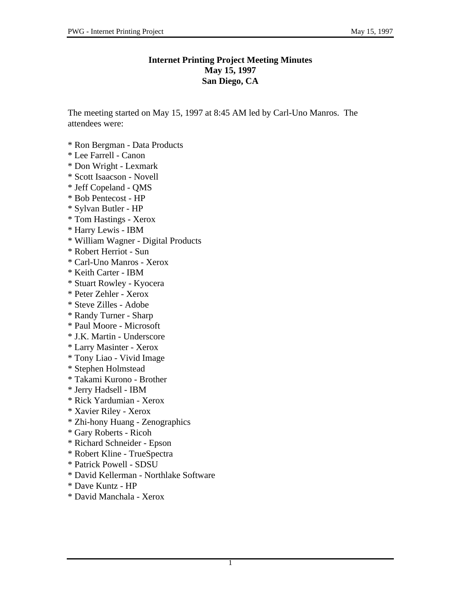## **Internet Printing Project Meeting Minutes May 15, 1997 San Diego, CA**

The meeting started on May 15, 1997 at 8:45 AM led by Carl-Uno Manros. The attendees were:

- \* Ron Bergman Data Products
- \* Lee Farrell Canon
- \* Don Wright Lexmark
- \* Scott Isaacson Novell
- \* Jeff Copeland QMS
- \* Bob Pentecost HP
- \* Sylvan Butler HP
- \* Tom Hastings Xerox
- \* Harry Lewis IBM
- \* William Wagner Digital Products
- \* Robert Herriot Sun
- \* Carl-Uno Manros Xerox
- \* Keith Carter IBM
- \* Stuart Rowley Kyocera
- \* Peter Zehler Xerox
- \* Steve Zilles Adobe
- \* Randy Turner Sharp
- \* Paul Moore Microsoft
- \* J.K. Martin Underscore
- \* Larry Masinter Xerox
- \* Tony Liao Vivid Image
- \* Stephen Holmstead
- \* Takami Kurono Brother
- \* Jerry Hadsell IBM
- \* Rick Yardumian Xerox
- \* Xavier Riley Xerox
- \* Zhi-hony Huang Zenographics
- \* Gary Roberts Ricoh
- \* Richard Schneider Epson
- \* Robert Kline TrueSpectra
- \* Patrick Powell SDSU
- \* David Kellerman Northlake Software
- \* Dave Kuntz HP
- \* David Manchala Xerox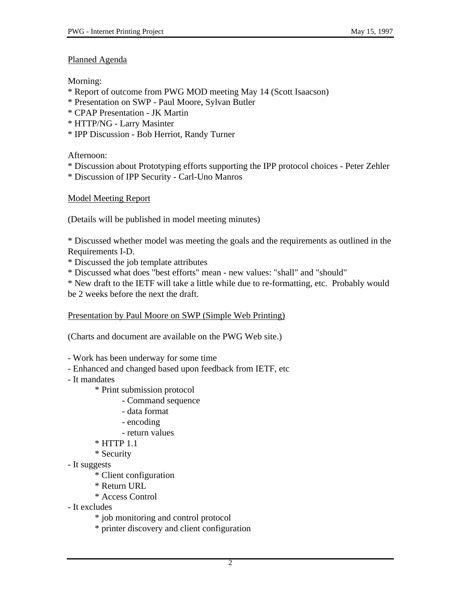## Planned Agenda

Morning:

- \* Report of outcome from PWG MOD meeting May 14 (Scott Isaacson)
- \* Presentation on SWP Paul Moore, Sylvan Butler
- \* CPAP Presentation JK Martin
- \* HTTP/NG Larry Masinter
- \* IPP Discussion Bob Herriot, Randy Turner

Afternoon:

- \* Discussion about Prototyping efforts supporting the IPP protocol choices Peter Zehler
- \* Discussion of IPP Security Carl-Uno Manros

# Model Meeting Report

(Details will be published in model meeting minutes)

\* Discussed whether model was meeting the goals and the requirements as outlined in the Requirements I-D.

\* Discussed the job template attributes

\* Discussed what does "best efforts" mean - new values: "shall" and "should"

\* New draft to the IETF will take a little while due to re-formatting, etc. Probably would be 2 weeks before the next the draft.

Presentation by Paul Moore on SWP (Simple Web Printing)

(Charts and document are available on the PWG Web site.)

- Work has been underway for some time

- Enhanced and changed based upon feedback from IETF, etc
- It mandates
	- \* Print submission protocol
		- Command sequence
		- data format
		- encoding
		- return values
	- \* HTTP 1.1
	- \* Security
- It suggests
	- \* Client configuration
	- \* Return URL
	- \* Access Control
- It excludes
	- \* job monitoring and control protocol
	- \* printer discovery and client configuration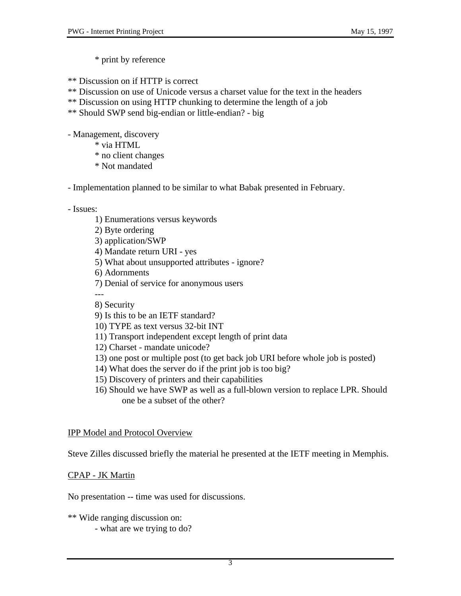\* print by reference

\*\* Discussion on if HTTP is correct

- \*\* Discussion on use of Unicode versus a charset value for the text in the headers
- \*\* Discussion on using HTTP chunking to determine the length of a job
- \*\* Should SWP send big-endian or little-endian? big

- Management, discovery

- \* via HTML
- \* no client changes
- \* Not mandated

- Implementation planned to be similar to what Babak presented in February.

- Issues:

- 1) Enumerations versus keywords
- 2) Byte ordering
- 3) application/SWP
- 4) Mandate return URI yes
- 5) What about unsupported attributes ignore?
- 6) Adornments
- 7) Denial of service for anonymous users
- --- 8) Security
- 9) Is this to be an IETF standard?
- 10) TYPE as text versus 32-bit INT
- 11) Transport independent except length of print data
- 12) Charset mandate unicode?
- 13) one post or multiple post (to get back job URI before whole job is posted)
- 14) What does the server do if the print job is too big?
- 15) Discovery of printers and their capabilities
- 16) Should we have SWP as well as a full-blown version to replace LPR. Should one be a subset of the other?

#### IPP Model and Protocol Overview

Steve Zilles discussed briefly the material he presented at the IETF meeting in Memphis.

## CPAP - JK Martin

No presentation -- time was used for discussions.

\*\* Wide ranging discussion on:

- what are we trying to do?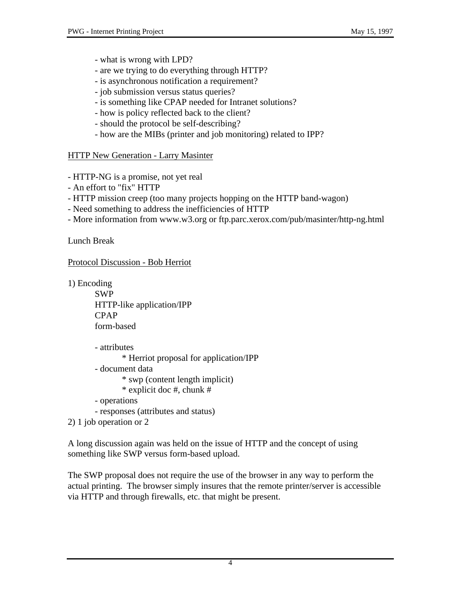- what is wrong with LPD?
- are we trying to do everything through HTTP?
- is asynchronous notification a requirement?
- job submission versus status queries?
- is something like CPAP needed for Intranet solutions?
- how is policy reflected back to the client?
- should the protocol be self-describing?
- how are the MIBs (printer and job monitoring) related to IPP?

## **HTTP New Generation - Larry Masinter**

- HTTP-NG is a promise, not yet real
- An effort to "fix" HTTP
- HTTP mission creep (too many projects hopping on the HTTP band-wagon)
- Need something to address the inefficiencies of HTTP
- More information from www.w3.org or ftp.parc.xerox.com/pub/masinter/http-ng.html

Lunch Break

Protocol Discussion - Bob Herriot

1) Encoding

SWP HTTP-like application/IPP CPAP form-based

```
- attributes
       * Herriot proposal for application/IPP
- document data
       * swp (content length implicit)
       * explicit doc #, chunk #
- operations
- responses (attributes and status)
```
2) 1 job operation or 2

A long discussion again was held on the issue of HTTP and the concept of using something like SWP versus form-based upload.

The SWP proposal does not require the use of the browser in any way to perform the actual printing. The browser simply insures that the remote printer/server is accessible via HTTP and through firewalls, etc. that might be present.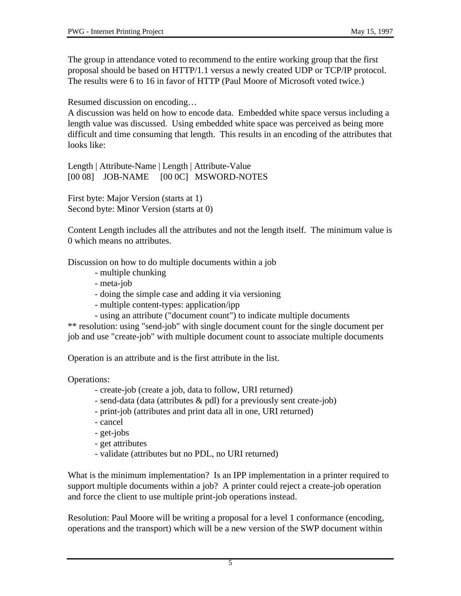The group in attendance voted to recommend to the entire working group that the first proposal should be based on HTTP/1.1 versus a newly created UDP or TCP/IP protocol. The results were 6 to 16 in favor of HTTP (Paul Moore of Microsoft voted twice.)

Resumed discussion on encoding…

A discussion was held on how to encode data. Embedded white space versus including a length value was discussed. Using embedded white space was perceived as being more difficult and time consuming that length. This results in an encoding of the attributes that looks like:

Length | Attribute-Name | Length | Attribute-Value [00 08] JOB-NAME [00 0C] MSWORD-NOTES

First byte: Major Version (starts at 1) Second byte: Minor Version (starts at 0)

Content Length includes all the attributes and not the length itself. The minimum value is 0 which means no attributes.

Discussion on how to do multiple documents within a job

- multiple chunking
- meta-job
- doing the simple case and adding it via versioning
- multiple content-types: application/ipp
- using an attribute ("document count") to indicate multiple documents

\*\* resolution: using "send-job" with single document count for the single document per job and use "create-job" with multiple document count to associate multiple documents

Operation is an attribute and is the first attribute in the list.

Operations:

- create-job (create a job, data to follow, URI returned)
- send-data (data (attributes & pdl) for a previously sent create-job)
- print-job (attributes and print data all in one, URI returned)
- cancel
- get-jobs
- get attributes
- validate (attributes but no PDL, no URI returned)

What is the minimum implementation? Is an IPP implementation in a printer required to support multiple documents within a job? A printer could reject a create-job operation and force the client to use multiple print-job operations instead.

Resolution: Paul Moore will be writing a proposal for a level 1 conformance (encoding, operations and the transport) which will be a new version of the SWP document within